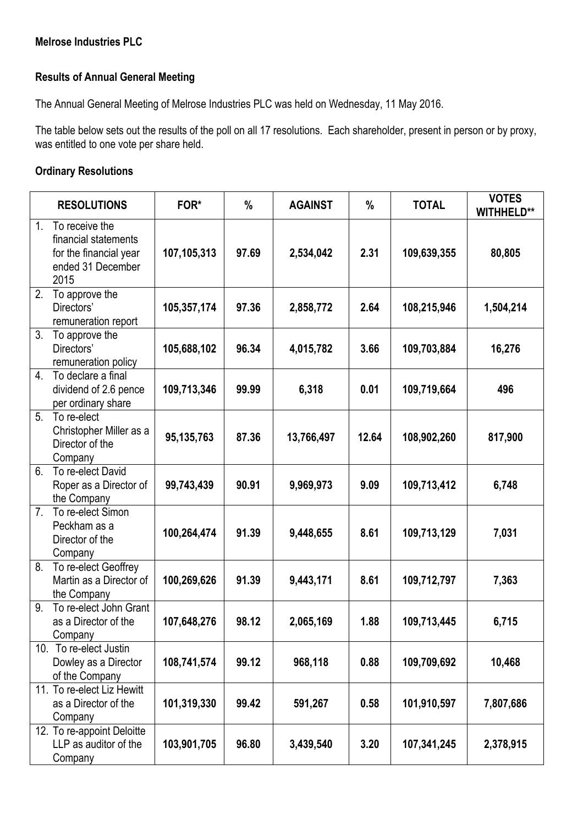## **Melrose Industries PLC**

## **Results of Annual General Meeting**

The Annual General Meeting of Melrose Industries PLC was held on Wednesday, 11 May 2016.

The table below sets out the results of the poll on all 17 resolutions. Each shareholder, present in person or by proxy, was entitled to one vote per share held.

## **Ordinary Resolutions**

|                | <b>RESOLUTIONS</b>                                                                            | FOR*        | %     | <b>AGAINST</b> | $\%$  | <b>TOTAL</b> | <b>VOTES</b><br><b>WITHHELD**</b> |
|----------------|-----------------------------------------------------------------------------------------------|-------------|-------|----------------|-------|--------------|-----------------------------------|
| 1 <sub>1</sub> | To receive the<br>financial statements<br>for the financial year<br>ended 31 December<br>2015 | 107,105,313 | 97.69 | 2,534,042      | 2.31  | 109,639,355  | 80,805                            |
| 2.             | To approve the<br>Directors'<br>remuneration report                                           | 105,357,174 | 97.36 | 2,858,772      | 2.64  | 108,215,946  | 1,504,214                         |
| 3.             | To approve the<br>Directors'<br>remuneration policy                                           | 105,688,102 | 96.34 | 4,015,782      | 3.66  | 109,703,884  | 16,276                            |
| 4.             | To declare a final<br>dividend of 2.6 pence<br>per ordinary share                             | 109,713,346 | 99.99 | 6,318          | 0.01  | 109,719,664  | 496                               |
| 5.             | To re-elect<br>Christopher Miller as a<br>Director of the<br>Company                          | 95,135,763  | 87.36 | 13,766,497     | 12.64 | 108,902,260  | 817,900                           |
| 6.             | To re-elect David<br>Roper as a Director of<br>the Company                                    | 99,743,439  | 90.91 | 9,969,973      | 9.09  | 109,713,412  | 6,748                             |
| 7.             | To re-elect Simon<br>Peckham as a<br>Director of the<br>Company                               | 100,264,474 | 91.39 | 9,448,655      | 8.61  | 109,713,129  | 7,031                             |
| 8.             | To re-elect Geoffrey<br>Martin as a Director of<br>the Company                                | 100,269,626 | 91.39 | 9,443,171      | 8.61  | 109,712,797  | 7,363                             |
| 9.             | To re-elect John Grant<br>as a Director of the<br>Company                                     | 107,648,276 | 98.12 | 2,065,169      | 1.88  | 109,713,445  | 6,715                             |
|                | 10. To re-elect Justin<br>Dowley as a Director<br>of the Company                              | 108,741,574 | 99.12 | 968,118        | 0.88  | 109,709,692  | 10,468                            |
|                | 11. To re-elect Liz Hewitt<br>as a Director of the<br>Company                                 | 101,319,330 | 99.42 | 591,267        | 0.58  | 101,910,597  | 7,807,686                         |
|                | 12. To re-appoint Deloitte<br>LLP as auditor of the<br>Company                                | 103,901,705 | 96.80 | 3,439,540      | 3.20  | 107,341,245  | 2,378,915                         |